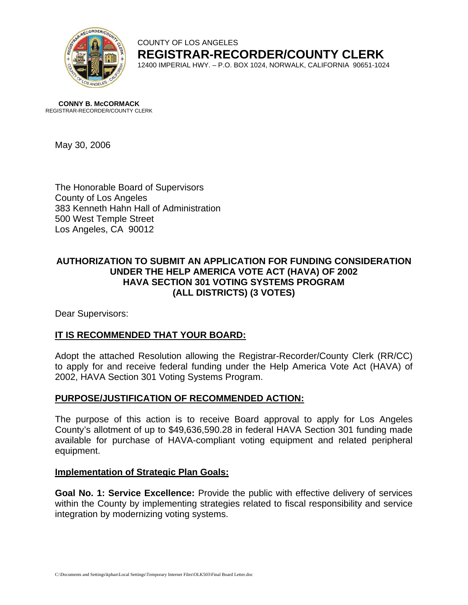

#### COUNTY OF LOS ANGELES **REGISTRAR-RECORDER/COUNTY CLERK** 12400 IMPERIAL HWY. – P.O. BOX 1024, NORWALK, CALIFORNIA 90651-1024

**CONNY B. McCORMACK** REGISTRAR-RECORDER/COUNTY CLERK

May 30, 2006

The Honorable Board of Supervisors County of Los Angeles 383 Kenneth Hahn Hall of Administration 500 West Temple Street Los Angeles, CA 90012

## **AUTHORIZATION TO SUBMIT AN APPLICATION FOR FUNDING CONSIDERATION UNDER THE HELP AMERICA VOTE ACT (HAVA) OF 2002 HAVA SECTION 301 VOTING SYSTEMS PROGRAM (ALL DISTRICTS) (3 VOTES)**

Dear Supervisors:

## **IT IS RECOMMENDED THAT YOUR BOARD:**

Adopt the attached Resolution allowing the Registrar-Recorder/County Clerk (RR/CC) to apply for and receive federal funding under the Help America Vote Act (HAVA) of 2002, HAVA Section 301 Voting Systems Program.

## **PURPOSE/JUSTIFICATION OF RECOMMENDED ACTION:**

The purpose of this action is to receive Board approval to apply for Los Angeles County's allotment of up to \$49,636,590.28 in federal HAVA Section 301 funding made available for purchase of HAVA-compliant voting equipment and related peripheral equipment.

#### **Implementation of Strategic Plan Goals:**

**Goal No. 1: Service Excellence:** Provide the public with effective delivery of services within the County by implementing strategies related to fiscal responsibility and service integration by modernizing voting systems.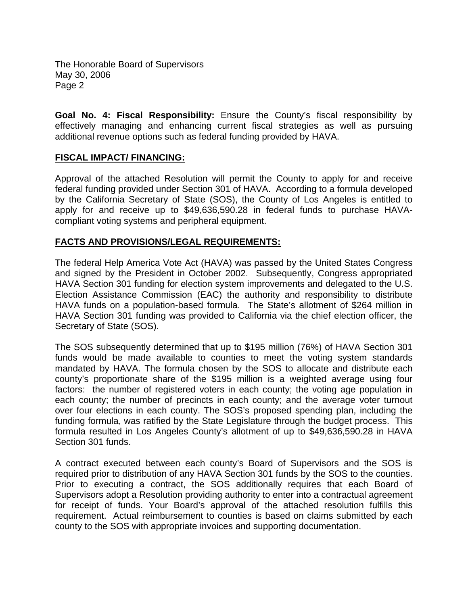The Honorable Board of Supervisors May 30, 2006 Page 2

**Goal No. 4: Fiscal Responsibility:** Ensure the County's fiscal responsibility by effectively managing and enhancing current fiscal strategies as well as pursuing additional revenue options such as federal funding provided by HAVA.

#### **FISCAL IMPACT/ FINANCING:**

Approval of the attached Resolution will permit the County to apply for and receive federal funding provided under Section 301 of HAVA. According to a formula developed by the California Secretary of State (SOS), the County of Los Angeles is entitled to apply for and receive up to \$49,636,590.28 in federal funds to purchase HAVAcompliant voting systems and peripheral equipment.

#### **FACTS AND PROVISIONS/LEGAL REQUIREMENTS:**

The federal Help America Vote Act (HAVA) was passed by the United States Congress and signed by the President in October 2002. Subsequently, Congress appropriated HAVA Section 301 funding for election system improvements and delegated to the U.S. Election Assistance Commission (EAC) the authority and responsibility to distribute HAVA funds on a population-based formula. The State's allotment of \$264 million in HAVA Section 301 funding was provided to California via the chief election officer, the Secretary of State (SOS).

The SOS subsequently determined that up to \$195 million (76%) of HAVA Section 301 funds would be made available to counties to meet the voting system standards mandated by HAVA. The formula chosen by the SOS to allocate and distribute each county's proportionate share of the \$195 million is a weighted average using four factors: the number of registered voters in each county; the voting age population in each county; the number of precincts in each county; and the average voter turnout over four elections in each county. The SOS's proposed spending plan, including the funding formula, was ratified by the State Legislature through the budget process. This formula resulted in Los Angeles County's allotment of up to \$49,636,590.28 in HAVA Section 301 funds.

A contract executed between each county's Board of Supervisors and the SOS is required prior to distribution of any HAVA Section 301 funds by the SOS to the counties. Prior to executing a contract, the SOS additionally requires that each Board of Supervisors adopt a Resolution providing authority to enter into a contractual agreement for receipt of funds. Your Board's approval of the attached resolution fulfills this requirement. Actual reimbursement to counties is based on claims submitted by each county to the SOS with appropriate invoices and supporting documentation.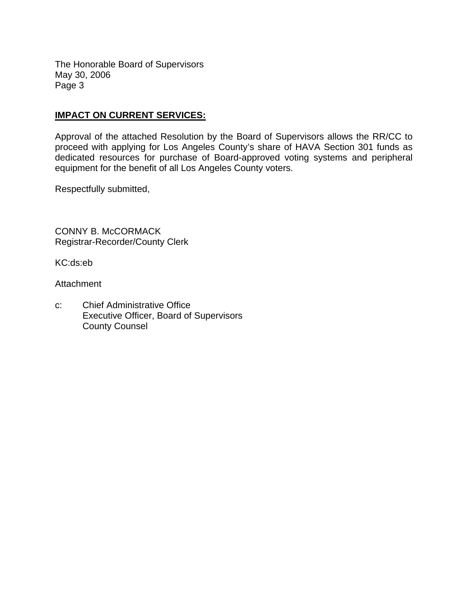The Honorable Board of Supervisors May 30, 2006 Page 3

## **IMPACT ON CURRENT SERVICES:**

Approval of the attached Resolution by the Board of Supervisors allows the RR/CC to proceed with applying for Los Angeles County's share of HAVA Section 301 funds as dedicated resources for purchase of Board-approved voting systems and peripheral equipment for the benefit of all Los Angeles County voters.

Respectfully submitted,

CONNY B. McCORMACK Registrar-Recorder/County Clerk

KC:ds:eb

**Attachment** 

c: Chief Administrative Office Executive Officer, Board of Supervisors County Counsel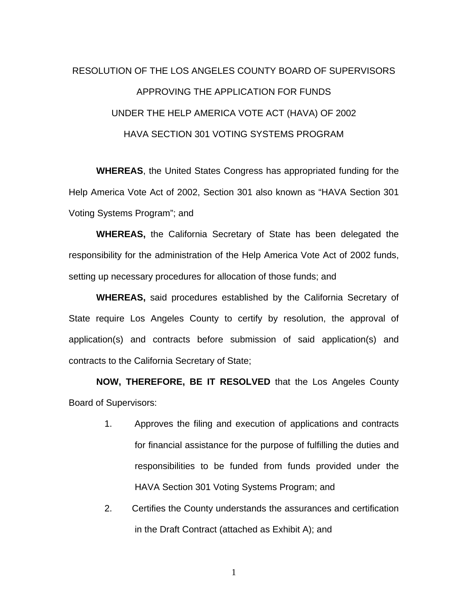# RESOLUTION OF THE LOS ANGELES COUNTY BOARD OF SUPERVISORS APPROVING THE APPLICATION FOR FUNDS UNDER THE HELP AMERICA VOTE ACT (HAVA) OF 2002 HAVA SECTION 301 VOTING SYSTEMS PROGRAM

**WHEREAS**, the United States Congress has appropriated funding for the Help America Vote Act of 2002, Section 301 also known as "HAVA Section 301 Voting Systems Program"; and

**WHEREAS,** the California Secretary of State has been delegated the responsibility for the administration of the Help America Vote Act of 2002 funds, setting up necessary procedures for allocation of those funds; and

**WHEREAS,** said procedures established by the California Secretary of State require Los Angeles County to certify by resolution, the approval of application(s) and contracts before submission of said application(s) and contracts to the California Secretary of State;

**NOW, THEREFORE, BE IT RESOLVED** that the Los Angeles County Board of Supervisors:

- 1. Approves the filing and execution of applications and contracts for financial assistance for the purpose of fulfilling the duties and responsibilities to be funded from funds provided under the HAVA Section 301 Voting Systems Program; and
- 2. Certifies the County understands the assurances and certification in the Draft Contract (attached as Exhibit A); and

1